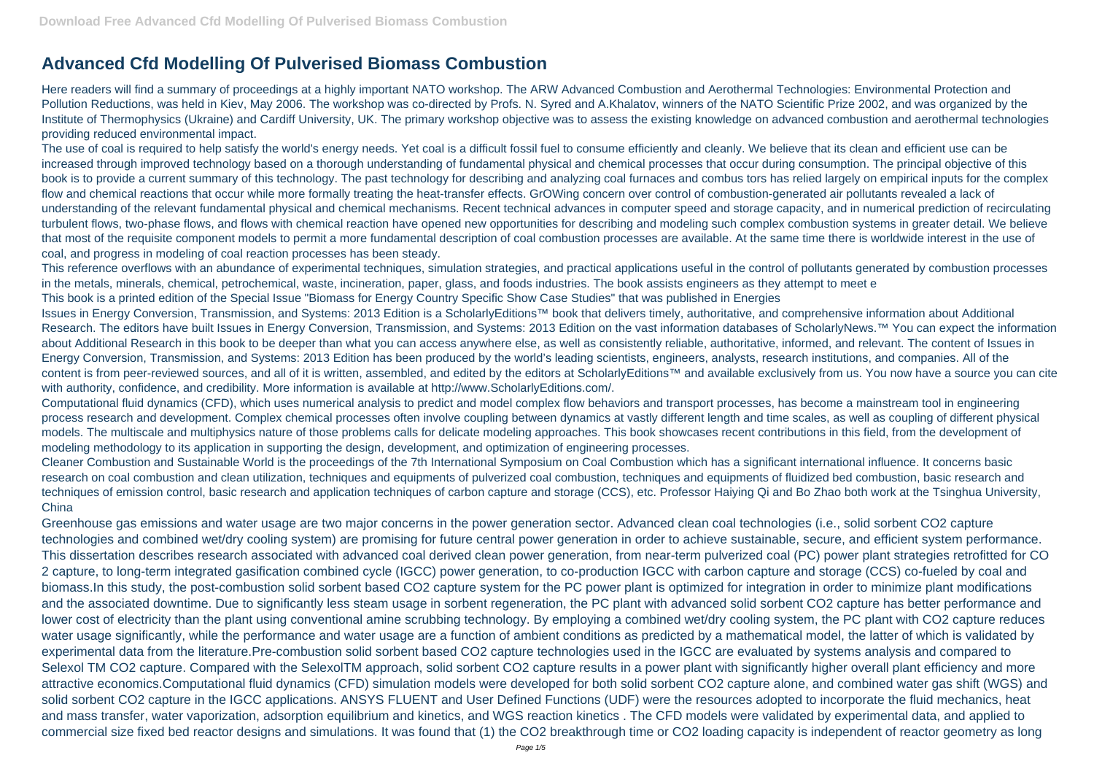## **Advanced Cfd Modelling Of Pulverised Biomass Combustion**

Here readers will find a summary of proceedings at a highly important NATO workshop. The ARW Advanced Combustion and Aerothermal Technologies: Environmental Protection and Pollution Reductions, was held in Kiev, May 2006. The workshop was co-directed by Profs. N. Syred and A.Khalatov, winners of the NATO Scientific Prize 2002, and was organized by the Institute of Thermophysics (Ukraine) and Cardiff University, UK. The primary workshop objective was to assess the existing knowledge on advanced combustion and aerothermal technologies providing reduced environmental impact.

The use of coal is required to help satisfy the world's energy needs. Yet coal is a difficult fossil fuel to consume efficiently and cleanly. We believe that its clean and efficient use can be increased through improved technology based on a thorough understanding of fundamental physical and chemical processes that occur during consumption. The principal objective of this book is to provide a current summary of this technology. The past technology for describing and analyzing coal furnaces and combus tors has relied largely on empirical inputs for the complex flow and chemical reactions that occur while more formally treating the heat-transfer effects. GrOWing concern over control of combustion-generated air pollutants revealed a lack of understanding of the relevant fundamental physical and chemical mechanisms. Recent technical advances in computer speed and storage capacity, and in numerical prediction of recirculating turbulent flows, two-phase flows, and flows with chemical reaction have opened new opportunities for describing and modeling such complex combustion systems in greater detail. We believe that most of the requisite component models to permit a more fundamental description of coal combustion processes are available. At the same time there is worldwide interest in the use of coal, and progress in modeling of coal reaction processes has been steady.

Issues in Energy Conversion, Transmission, and Systems: 2013 Edition is a ScholarlyEditions™ book that delivers timely, authoritative, and comprehensive information about Additional Research. The editors have built Issues in Energy Conversion, Transmission, and Systems: 2013 Edition on the vast information databases of ScholarlyNews.™ You can expect the information about Additional Research in this book to be deeper than what you can access anywhere else, as well as consistently reliable, authoritative, informed, and relevant. The content of Issues in Energy Conversion, Transmission, and Systems: 2013 Edition has been produced by the world's leading scientists, engineers, analysts, research institutions, and companies. All of the content is from peer-reviewed sources, and all of it is written, assembled, and edited by the editors at ScholarlyEditions™ and available exclusively from us. You now have a source you can cite with authority, confidence, and credibility. More information is available at http://www.ScholarlyEditions.com/.

Cleaner Combustion and Sustainable World is the proceedings of the 7th International Symposium on Coal Combustion which has a significant international influence. It concerns basic research on coal combustion and clean utilization, techniques and equipments of pulverized coal combustion, techniques and equipments of fluidized bed combustion, basic research and techniques of emission control, basic research and application techniques of carbon capture and storage (CCS), etc. Professor Haiying Qi and Bo Zhao both work at the Tsinghua University, **China** 

This reference overflows with an abundance of experimental techniques, simulation strategies, and practical applications useful in the control of pollutants generated by combustion processes in the metals, minerals, chemical, petrochemical, waste, incineration, paper, glass, and foods industries. The book assists engineers as they attempt to meet e This book is a printed edition of the Special Issue "Biomass for Energy Country Specific Show Case Studies" that was published in Energies

Computational fluid dynamics (CFD), which uses numerical analysis to predict and model complex flow behaviors and transport processes, has become a mainstream tool in engineering process research and development. Complex chemical processes often involve coupling between dynamics at vastly different length and time scales, as well as coupling of different physical models. The multiscale and multiphysics nature of those problems calls for delicate modeling approaches. This book showcases recent contributions in this field, from the development of modeling methodology to its application in supporting the design, development, and optimization of engineering processes.

Greenhouse gas emissions and water usage are two major concerns in the power generation sector. Advanced clean coal technologies (i.e., solid sorbent CO2 capture technologies and combined wet/dry cooling system) are promising for future central power generation in order to achieve sustainable, secure, and efficient system performance. This dissertation describes research associated with advanced coal derived clean power generation, from near-term pulverized coal (PC) power plant strategies retrofitted for CO 2 capture, to long-term integrated gasification combined cycle (IGCC) power generation, to co-production IGCC with carbon capture and storage (CCS) co-fueled by coal and biomass.In this study, the post-combustion solid sorbent based CO2 capture system for the PC power plant is optimized for integration in order to minimize plant modifications and the associated downtime. Due to significantly less steam usage in sorbent regeneration, the PC plant with advanced solid sorbent CO2 capture has better performance and lower cost of electricity than the plant using conventional amine scrubbing technology. By employing a combined wet/dry cooling system, the PC plant with CO2 capture reduces water usage significantly, while the performance and water usage are a function of ambient conditions as predicted by a mathematical model, the latter of which is validated by experimental data from the literature.Pre-combustion solid sorbent based CO2 capture technologies used in the IGCC are evaluated by systems analysis and compared to Selexol TM CO2 capture. Compared with the SelexolTM approach, solid sorbent CO2 capture results in a power plant with significantly higher overall plant efficiency and more attractive economics.Computational fluid dynamics (CFD) simulation models were developed for both solid sorbent CO2 capture alone, and combined water gas shift (WGS) and solid sorbent CO2 capture in the IGCC applications. ANSYS FLUENT and User Defined Functions (UDF) were the resources adopted to incorporate the fluid mechanics, heat and mass transfer, water vaporization, adsorption equilibrium and kinetics, and WGS reaction kinetics . The CFD models were validated by experimental data, and applied to commercial size fixed bed reactor designs and simulations. It was found that (1) the CO2 breakthrough time or CO2 loading capacity is independent of reactor geometry as long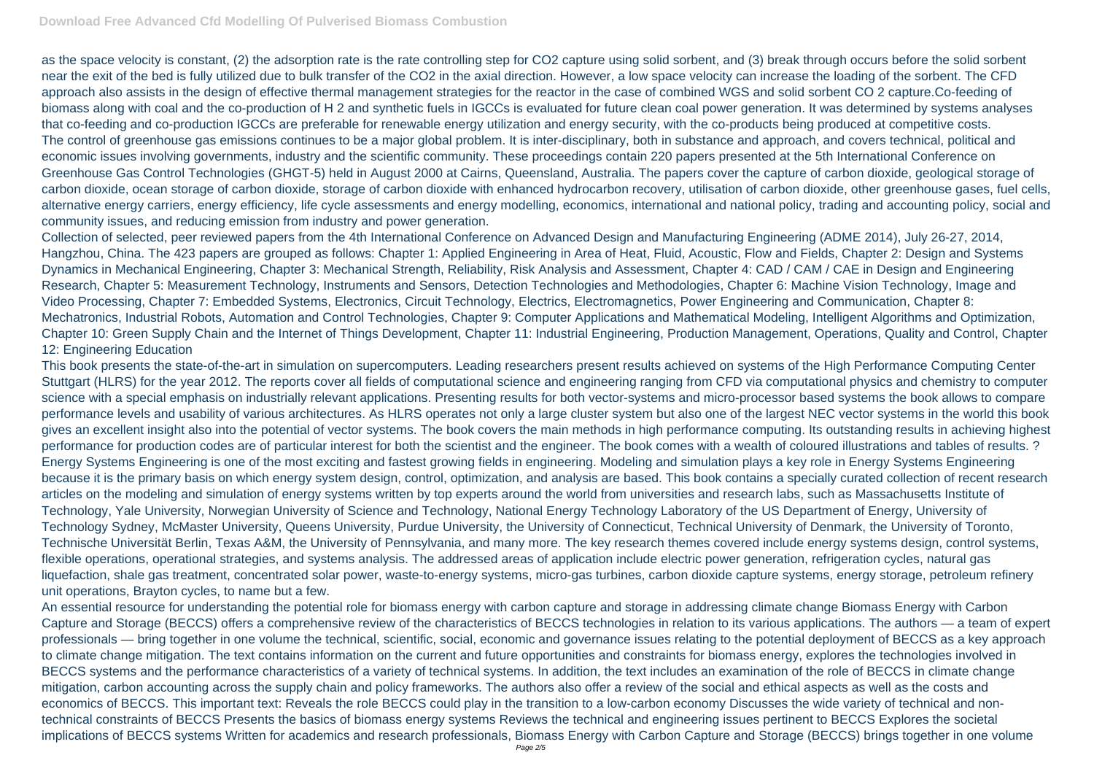as the space velocity is constant, (2) the adsorption rate is the rate controlling step for CO2 capture using solid sorbent, and (3) break through occurs before the solid sorbent near the exit of the bed is fully utilized due to bulk transfer of the CO2 in the axial direction. However, a low space velocity can increase the loading of the sorbent. The CFD approach also assists in the design of effective thermal management strategies for the reactor in the case of combined WGS and solid sorbent CO 2 capture.Co-feeding of biomass along with coal and the co-production of H 2 and synthetic fuels in IGCCs is evaluated for future clean coal power generation. It was determined by systems analyses that co-feeding and co-production IGCCs are preferable for renewable energy utilization and energy security, with the co-products being produced at competitive costs. The control of greenhouse gas emissions continues to be a major global problem. It is inter-disciplinary, both in substance and approach, and covers technical, political and economic issues involving governments, industry and the scientific community. These proceedings contain 220 papers presented at the 5th International Conference on Greenhouse Gas Control Technologies (GHGT-5) held in August 2000 at Cairns, Queensland, Australia. The papers cover the capture of carbon dioxide, geological storage of carbon dioxide, ocean storage of carbon dioxide, storage of carbon dioxide with enhanced hydrocarbon recovery, utilisation of carbon dioxide, other greenhouse gases, fuel cells, alternative energy carriers, energy efficiency, life cycle assessments and energy modelling, economics, international and national policy, trading and accounting policy, social and community issues, and reducing emission from industry and power generation.

Collection of selected, peer reviewed papers from the 4th International Conference on Advanced Design and Manufacturing Engineering (ADME 2014), July 26-27, 2014, Hangzhou, China. The 423 papers are grouped as follows: Chapter 1: Applied Engineering in Area of Heat, Fluid, Acoustic, Flow and Fields, Chapter 2: Design and Systems Dynamics in Mechanical Engineering, Chapter 3: Mechanical Strength, Reliability, Risk Analysis and Assessment, Chapter 4: CAD / CAM / CAE in Design and Engineering Research, Chapter 5: Measurement Technology, Instruments and Sensors, Detection Technologies and Methodologies, Chapter 6: Machine Vision Technology, Image and Video Processing, Chapter 7: Embedded Systems, Electronics, Circuit Technology, Electrics, Electromagnetics, Power Engineering and Communication, Chapter 8: Mechatronics, Industrial Robots, Automation and Control Technologies, Chapter 9: Computer Applications and Mathematical Modeling, Intelligent Algorithms and Optimization, Chapter 10: Green Supply Chain and the Internet of Things Development, Chapter 11: Industrial Engineering, Production Management, Operations, Quality and Control, Chapter 12: Engineering Education

This book presents the state-of-the-art in simulation on supercomputers. Leading researchers present results achieved on systems of the High Performance Computing Center Stuttgart (HLRS) for the year 2012. The reports cover all fields of computational science and engineering ranging from CFD via computational physics and chemistry to computer science with a special emphasis on industrially relevant applications. Presenting results for both vector-systems and micro-processor based systems the book allows to compare performance levels and usability of various architectures. As HLRS operates not only a large cluster system but also one of the largest NEC vector systems in the world this book gives an excellent insight also into the potential of vector systems. The book covers the main methods in high performance computing. Its outstanding results in achieving highest performance for production codes are of particular interest for both the scientist and the engineer. The book comes with a wealth of coloured illustrations and tables of results. ? Energy Systems Engineering is one of the most exciting and fastest growing fields in engineering. Modeling and simulation plays a key role in Energy Systems Engineering because it is the primary basis on which energy system design, control, optimization, and analysis are based. This book contains a specially curated collection of recent research articles on the modeling and simulation of energy systems written by top experts around the world from universities and research labs, such as Massachusetts Institute of Technology, Yale University, Norwegian University of Science and Technology, National Energy Technology Laboratory of the US Department of Energy, University of Technology Sydney, McMaster University, Queens University, Purdue University, the University of Connecticut, Technical University of Denmark, the University of Toronto, Technische Universität Berlin, Texas A&M, the University of Pennsylvania, and many more. The key research themes covered include energy systems design, control systems, flexible operations, operational strategies, and systems analysis. The addressed areas of application include electric power generation, refrigeration cycles, natural gas liquefaction, shale gas treatment, concentrated solar power, waste-to-energy systems, micro-gas turbines, carbon dioxide capture systems, energy storage, petroleum refinery unit operations, Brayton cycles, to name but a few.

An essential resource for understanding the potential role for biomass energy with carbon capture and storage in addressing climate change Biomass Energy with Carbon Capture and Storage (BECCS) offers a comprehensive review of the characteristics of BECCS technologies in relation to its various applications. The authors — a team of expert professionals — bring together in one volume the technical, scientific, social, economic and governance issues relating to the potential deployment of BECCS as a key approach to climate change mitigation. The text contains information on the current and future opportunities and constraints for biomass energy, explores the technologies involved in BECCS systems and the performance characteristics of a variety of technical systems. In addition, the text includes an examination of the role of BECCS in climate change mitigation, carbon accounting across the supply chain and policy frameworks. The authors also offer a review of the social and ethical aspects as well as the costs and economics of BECCS. This important text: Reveals the role BECCS could play in the transition to a low-carbon economy Discusses the wide variety of technical and nontechnical constraints of BECCS Presents the basics of biomass energy systems Reviews the technical and engineering issues pertinent to BECCS Explores the societal implications of BECCS systems Written for academics and research professionals, Biomass Energy with Carbon Capture and Storage (BECCS) brings together in one volume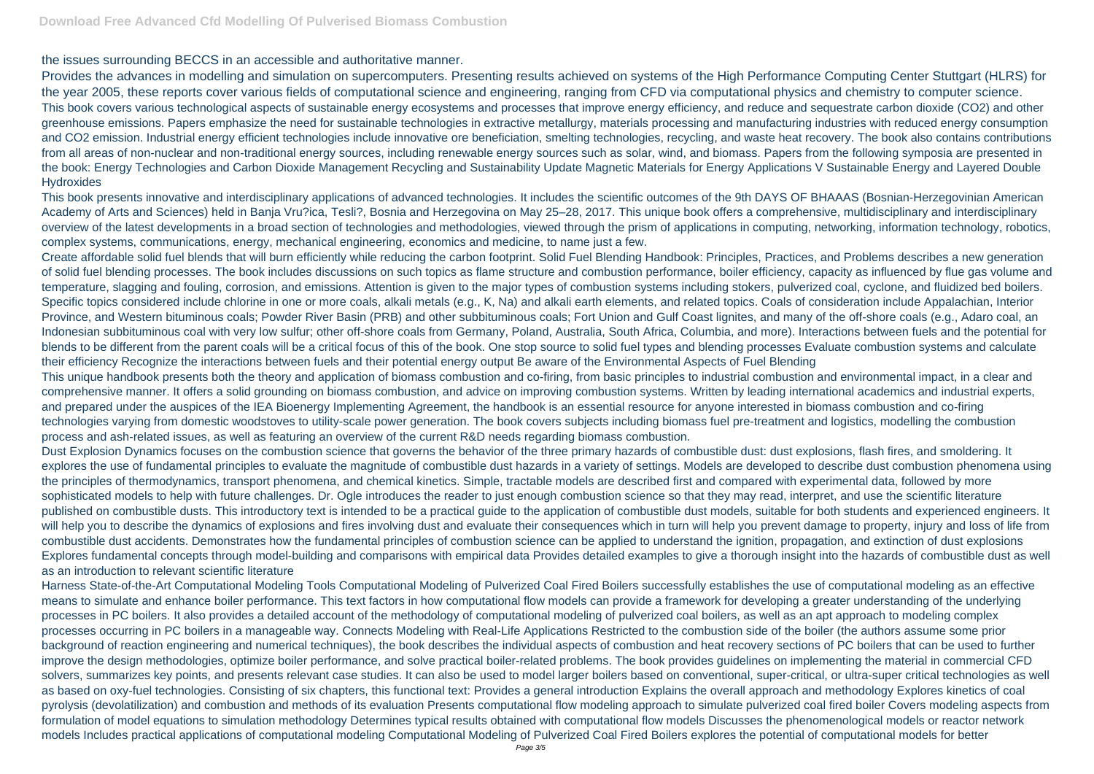Provides the advances in modelling and simulation on supercomputers. Presenting results achieved on systems of the High Performance Computing Center Stuttgart (HLRS) for the year 2005, these reports cover various fields of computational science and engineering, ranging from CFD via computational physics and chemistry to computer science. This book covers various technological aspects of sustainable energy ecosystems and processes that improve energy efficiency, and reduce and sequestrate carbon dioxide (CO2) and other greenhouse emissions. Papers emphasize the need for sustainable technologies in extractive metallurgy, materials processing and manufacturing industries with reduced energy consumption and CO2 emission. Industrial energy efficient technologies include innovative ore beneficiation, smelting technologies, recycling, and waste heat recovery. The book also contains contributions from all areas of non-nuclear and non-traditional energy sources, including renewable energy sources such as solar, wind, and biomass. Papers from the following symposia are presented in the book: Energy Technologies and Carbon Dioxide Management Recycling and Sustainability Update Magnetic Materials for Energy Applications V Sustainable Energy and Layered Double **Hydroxides** 

## the issues surrounding BECCS in an accessible and authoritative manner.

This book presents innovative and interdisciplinary applications of advanced technologies. It includes the scientific outcomes of the 9th DAYS OF BHAAAS (Bosnian-Herzegovinian American Academy of Arts and Sciences) held in Banja Vru?ica, Tesli?, Bosnia and Herzegovina on May 25–28, 2017. This unique book offers a comprehensive, multidisciplinary and interdisciplinary overview of the latest developments in a broad section of technologies and methodologies, viewed through the prism of applications in computing, networking, information technology, robotics, complex systems, communications, energy, mechanical engineering, economics and medicine, to name just a few.

Create affordable solid fuel blends that will burn efficiently while reducing the carbon footprint. Solid Fuel Blending Handbook: Principles, Practices, and Problems describes a new generation of solid fuel blending processes. The book includes discussions on such topics as flame structure and combustion performance, boiler efficiency, capacity as influenced by flue gas volume and temperature, slagging and fouling, corrosion, and emissions. Attention is given to the major types of combustion systems including stokers, pulverized coal, cyclone, and fluidized bed boilers. Specific topics considered include chlorine in one or more coals, alkali metals (e.g., K, Na) and alkali earth elements, and related topics. Coals of consideration include Appalachian, Interior Province, and Western bituminous coals; Powder River Basin (PRB) and other subbituminous coals; Fort Union and Gulf Coast lignites, and many of the off-shore coals (e.g., Adaro coal, an Indonesian subbituminous coal with very low sulfur; other off-shore coals from Germany, Poland, Australia, South Africa, Columbia, and more). Interactions between fuels and the potential for blends to be different from the parent coals will be a critical focus of this of the book. One stop source to solid fuel types and blending processes Evaluate combustion systems and calculate their efficiency Recognize the interactions between fuels and their potential energy output Be aware of the Environmental Aspects of Fuel Blending This unique handbook presents both the theory and application of biomass combustion and co-firing, from basic principles to industrial combustion and environmental impact, in a clear and comprehensive manner. It offers a solid grounding on biomass combustion, and advice on improving combustion systems. Written by leading international academics and industrial experts, and prepared under the auspices of the IEA Bioenergy Implementing Agreement, the handbook is an essential resource for anyone interested in biomass combustion and co-firing technologies varying from domestic woodstoves to utility-scale power generation. The book covers subjects including biomass fuel pre-treatment and logistics, modelling the combustion process and ash-related issues, as well as featuring an overview of the current R&D needs regarding biomass combustion.

Dust Explosion Dynamics focuses on the combustion science that governs the behavior of the three primary hazards of combustible dust: dust explosions, flash fires, and smoldering. It explores the use of fundamental principles to evaluate the magnitude of combustible dust hazards in a variety of settings. Models are developed to describe dust combustion phenomena using the principles of thermodynamics, transport phenomena, and chemical kinetics. Simple, tractable models are described first and compared with experimental data, followed by more sophisticated models to help with future challenges. Dr. Ogle introduces the reader to just enough combustion science so that they may read, interpret, and use the scientific literature published on combustible dusts. This introductory text is intended to be a practical guide to the application of combustible dust models, suitable for both students and experienced engineers. It will help you to describe the dynamics of explosions and fires involving dust and evaluate their consequences which in turn will help you prevent damage to property, injury and loss of life from combustible dust accidents. Demonstrates how the fundamental principles of combustion science can be applied to understand the ignition, propagation, and extinction of dust explosions Explores fundamental concepts through model-building and comparisons with empirical data Provides detailed examples to give a thorough insight into the hazards of combustible dust as well as an introduction to relevant scientific literature

Harness State-of-the-Art Computational Modeling Tools Computational Modeling of Pulverized Coal Fired Boilers successfully establishes the use of computational modeling as an effective means to simulate and enhance boiler performance. This text factors in how computational flow models can provide a framework for developing a greater understanding of the underlying processes in PC boilers. It also provides a detailed account of the methodology of computational modeling of pulverized coal boilers, as well as an apt approach to modeling complex processes occurring in PC boilers in a manageable way. Connects Modeling with Real-Life Applications Restricted to the combustion side of the boiler (the authors assume some prior background of reaction engineering and numerical techniques), the book describes the individual aspects of combustion and heat recovery sections of PC boilers that can be used to further improve the design methodologies, optimize boiler performance, and solve practical boiler-related problems. The book provides guidelines on implementing the material in commercial CFD solvers, summarizes key points, and presents relevant case studies. It can also be used to model larger boilers based on conventional, super-critical, or ultra-super critical technologies as well as based on oxy-fuel technologies. Consisting of six chapters, this functional text: Provides a general introduction Explains the overall approach and methodology Explores kinetics of coal pyrolysis (devolatilization) and combustion and methods of its evaluation Presents computational flow modeling approach to simulate pulverized coal fired boiler Covers modeling aspects from formulation of model equations to simulation methodology Determines typical results obtained with computational flow models Discusses the phenomenological models or reactor network models Includes practical applications of computational modeling Computational Modeling of Pulverized Coal Fired Boilers explores the potential of computational models for better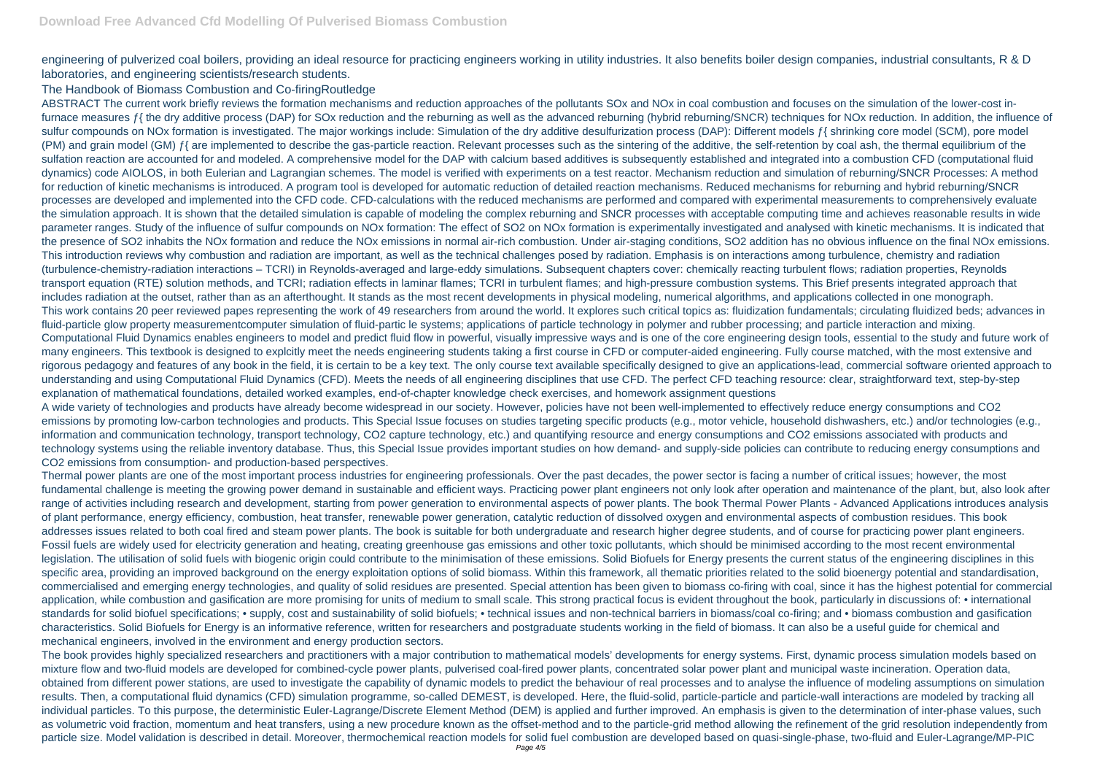engineering of pulverized coal boilers, providing an ideal resource for practicing engineers working in utility industries. It also benefits boiler design companies, industrial consultants, R & D laboratories, and engineering scientists/research students.

## The Handbook of Biomass Combustion and Co-firingRoutledge

ABSTRACT The current work briefly reviews the formation mechanisms and reduction approaches of the pollutants SOx and NOx in coal combustion and focuses on the simulation of the lower-cost infurnace measures f{ the dry additive process (DAP) for SOx reduction and the reburning as well as the advanced reburning (hybrid reburning/SNCR) techniques for NOx reduction. In addition, the influence of sulfur compounds on NOx formation is investigated. The major workings include: Simulation of the dry additive desulfurization process (DAP): Different models f{ shrinking core model (SCM), pore model (PM) and grain model (GM)  $f$ { are implemented to describe the gas-particle reaction. Relevant processes such as the sintering of the additive, the self-retention by coal ash, the thermal equilibrium of the sulfation reaction are accounted for and modeled. A comprehensive model for the DAP with calcium based additives is subsequently established and integrated into a combustion CFD (computational fluid dynamics) code AIOLOS, in both Eulerian and Lagrangian schemes. The model is verified with experiments on a test reactor. Mechanism reduction and simulation of reburning/SNCR Processes: A method for reduction of kinetic mechanisms is introduced. A program tool is developed for automatic reduction of detailed reaction mechanisms. Reduced mechanisms for reburning and hybrid reburning/SNCR processes are developed and implemented into the CFD code. CFD-calculations with the reduced mechanisms are performed and compared with experimental measurements to comprehensively evaluate the simulation approach. It is shown that the detailed simulation is capable of modeling the complex reburning and SNCR processes with acceptable computing time and achieves reasonable results in wide parameter ranges. Study of the influence of sulfur compounds on NOx formation: The effect of SO2 on NOx formation is experimentally investigated and analysed with kinetic mechanisms. It is indicated that the presence of SO2 inhabits the NOx formation and reduce the NOx emissions in normal air-rich combustion. Under air-staging conditions, SO2 addition has no obvious influence on the final NOx emissions. This introduction reviews why combustion and radiation are important, as well as the technical challenges posed by radiation. Emphasis is on interactions among turbulence, chemistry and radiation (turbulence-chemistry-radiation interactions – TCRI) in Reynolds-averaged and large-eddy simulations. Subsequent chapters cover: chemically reacting turbulent flows; radiation properties, Reynolds transport equation (RTE) solution methods, and TCRI; radiation effects in laminar flames; TCRI in turbulent flames; and high-pressure combustion systems. This Brief presents integrated approach that includes radiation at the outset, rather than as an afterthought. It stands as the most recent developments in physical modeling, numerical algorithms, and applications collected in one monograph. This work contains 20 peer reviewed papes representing the work of 49 researchers from around the world. It explores such critical topics as: fluidization fundamentals; circulating fluidized beds; advances in fluid-particle glow property measurementcomputer simulation of fluid-partic le systems; applications of particle technology in polymer and rubber processing; and particle interaction and mixing. Computational Fluid Dynamics enables engineers to model and predict fluid flow in powerful, visually impressive ways and is one of the core engineering design tools, essential to the study and future work of many engineers. This textbook is designed to explcitly meet the needs engineering students taking a first course in CFD or computer-aided engineering. Fully course matched, with the most extensive and rigorous pedagogy and features of any book in the field, it is certain to be a key text. The only course text available specifically designed to give an applications-lead, commercial software oriented approach to understanding and using Computational Fluid Dynamics (CFD). Meets the needs of all engineering disciplines that use CFD. The perfect CFD teaching resource: clear, straightforward text, step-by-step explanation of mathematical foundations, detailed worked examples, end-of-chapter knowledge check exercises, and homework assignment questions

A wide variety of technologies and products have already become widespread in our society. However, policies have not been well-implemented to effectively reduce energy consumptions and CO2 emissions by promoting low-carbon technologies and products. This Special Issue focuses on studies targeting specific products (e.g., motor vehicle, household dishwashers, etc.) and/or technologies (e.g., information and communication technology, transport technology, CO2 capture technology, etc.) and quantifying resource and energy consumptions and CO2 emissions associated with products and technology systems using the reliable inventory database. Thus, this Special Issue provides important studies on how demand- and supply-side policies can contribute to reducing energy consumptions and CO2 emissions from consumption- and production-based perspectives.

Thermal power plants are one of the most important process industries for engineering professionals. Over the past decades, the power sector is facing a number of critical issues; however, the most fundamental challenge is meeting the growing power demand in sustainable and efficient ways. Practicing power plant engineers not only look after operation and maintenance of the plant, but, also look after range of activities including research and development, starting from power generation to environmental aspects of power plants. The book Thermal Power Plants - Advanced Applications introduces analysis of plant performance, energy efficiency, combustion, heat transfer, renewable power generation, catalytic reduction of dissolved oxygen and environmental aspects of combustion residues. This book addresses issues related to both coal fired and steam power plants. The book is suitable for both undergraduate and research higher degree students, and of course for practicing power plant engineers. Fossil fuels are widely used for electricity generation and heating, creating greenhouse gas emissions and other toxic pollutants, which should be minimised according to the most recent environmental legislation. The utilisation of solid fuels with biogenic origin could contribute to the minimisation of these emissions. Solid Biofuels for Energy presents the current status of the engineering disciplines in this specific area, providing an improved background on the energy exploitation options of solid biomass. Within this framework, all thematic priorities related to the solid bioenergy potential and standardisation, commercialised and emerging energy technologies, and quality of solid residues are presented. Special attention has been given to biomass co-firing with coal, since it has the highest potential for commercial application, while combustion and gasification are more promising for units of medium to small scale. This strong practical focus is evident throughout the book, particularly in discussions of: • international standards for solid biofuel specifications; • supply, cost and sustainability of solid biofuels; • technical issues and non-technical barriers in biomass/coal co-firing; and • biomass combustion and gasification characteristics. Solid Biofuels for Energy is an informative reference, written for researchers and postgraduate students working in the field of biomass. It can also be a useful guide for chemical and mechanical engineers, involved in the environment and energy production sectors.

The book provides highly specialized researchers and practitioners with a major contribution to mathematical models' developments for energy systems. First, dynamic process simulation models based on mixture flow and two-fluid models are developed for combined-cycle power plants, pulverised coal-fired power plants, concentrated solar power plant and municipal waste incineration. Operation data, obtained from different power stations, are used to investigate the capability of dynamic models to predict the behaviour of real processes and to analyse the influence of modeling assumptions on simulation results. Then, a computational fluid dynamics (CFD) simulation programme, so-called DEMEST, is developed. Here, the fluid-solid, particle-particle and particle-wall interactions are modeled by tracking all individual particles. To this purpose, the deterministic Euler-Lagrange/Discrete Element Method (DEM) is applied and further improved. An emphasis is given to the determination of inter-phase values, such as volumetric void fraction, momentum and heat transfers, using a new procedure known as the offset-method and to the particle-grid method allowing the refinement of the grid resolution independently from particle size. Model validation is described in detail. Moreover, thermochemical reaction models for solid fuel combustion are developed based on quasi-single-phase, two-fluid and Euler-Lagrange/MP-PIC